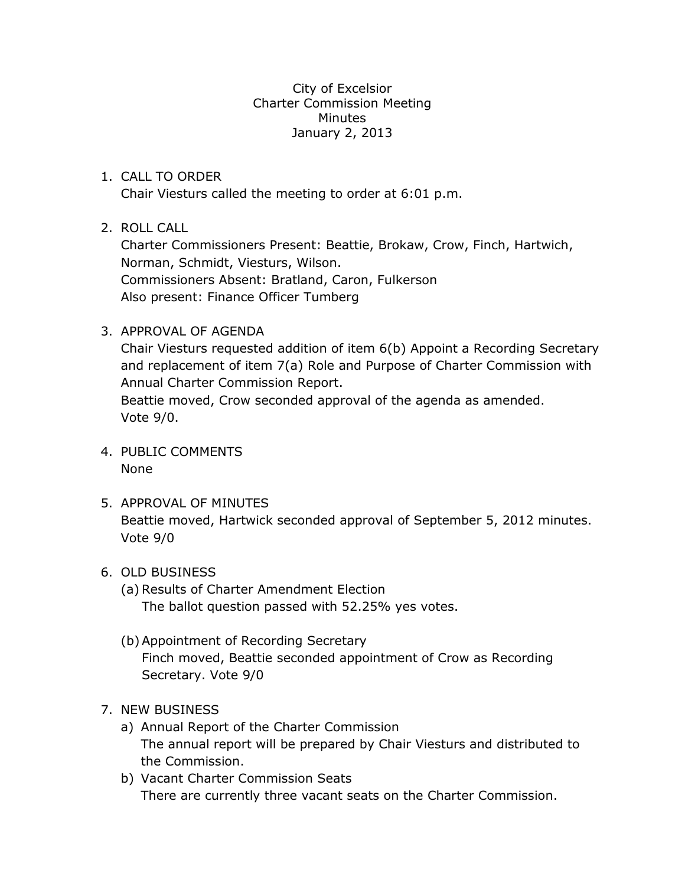City of Excelsior Charter Commission Meeting Minutes January 2, 2013

## 1. CALL TO ORDER

Chair Viesturs called the meeting to order at 6:01 p.m.

# 2. ROLL CALL

Charter Commissioners Present: Beattie, Brokaw, Crow, Finch, Hartwich, Norman, Schmidt, Viesturs, Wilson. Commissioners Absent: Bratland, Caron, Fulkerson Also present: Finance Officer Tumberg

# 3. APPROVAL OF AGENDA

Chair Viesturs requested addition of item 6(b) Appoint a Recording Secretary and replacement of item 7(a) Role and Purpose of Charter Commission with Annual Charter Commission Report. Beattie moved, Crow seconded approval of the agenda as amended.

Vote 9/0.

- 4. PUBLIC COMMENTS None
- 5. APPROVAL OF MINUTES Beattie moved, Hartwick seconded approval of September 5, 2012 minutes. Vote 9/0

#### 6. OLD BUSINESS

- (a) Results of Charter Amendment Election The ballot question passed with 52.25% yes votes.
- (b)Appointment of Recording Secretary Finch moved, Beattie seconded appointment of Crow as Recording Secretary. Vote 9/0
- 7. NEW BUSINESS
	- a) Annual Report of the Charter Commission The annual report will be prepared by Chair Viesturs and distributed to the Commission.
	- b) Vacant Charter Commission Seats There are currently three vacant seats on the Charter Commission.